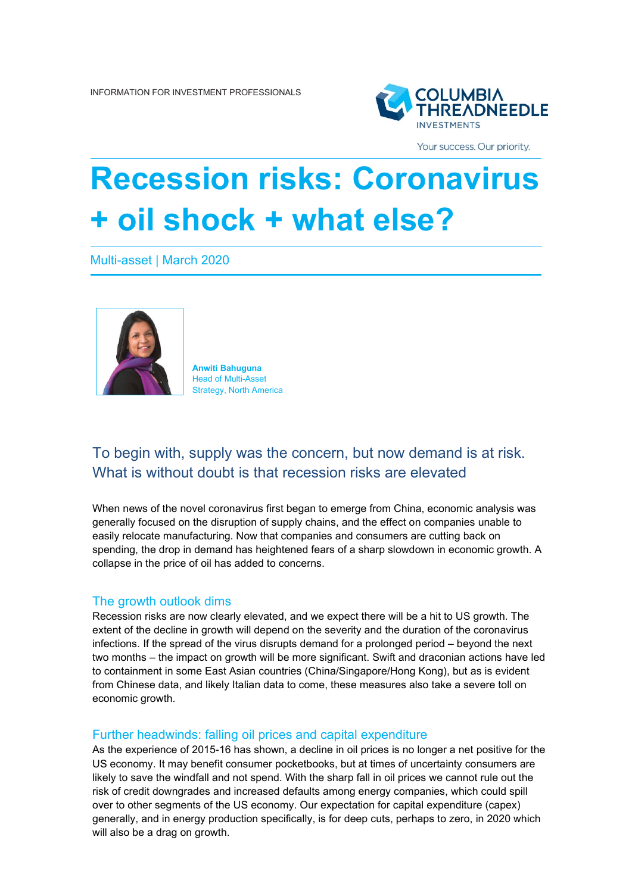

Your success. Our priority.

# **Recession risks: Coronavirus + oil shock + what else?**

Multi-asset | March 2020



**Anwiti Bahuguna** Head of Multi-Asset Strategy, North America

# To begin with, supply was the concern, but now demand is at risk. What is without doubt is that recession risks are elevated

When news of the novel coronavirus first began to emerge from China, economic analysis was generally focused on the disruption of supply chains, and the effect on companies unable to easily relocate manufacturing. Now that companies and consumers are cutting back on spending, the drop in demand has heightened fears of a sharp slowdown in economic growth. A collapse in the price of oil has added to concerns.

## The growth outlook dims

Recession risks are now clearly elevated, and we expect there will be a hit to US growth. The extent of the decline in growth will depend on the severity and the duration of the coronavirus infections. If the spread of the virus disrupts demand for a prolonged period – beyond the next two months – the impact on growth will be more significant. Swift and draconian actions have led to containment in some East Asian countries (China/Singapore/Hong Kong), but as is evident from Chinese data, and likely Italian data to come, these measures also take a severe toll on economic growth.

## Further headwinds: falling oil prices and capital expenditure

As the experience of 2015-16 has shown, a decline in oil prices is no longer a net positive for the US economy. It may benefit consumer pocketbooks, but at times of uncertainty consumers are likely to save the windfall and not spend. With the sharp fall in oil prices we cannot rule out the risk of credit downgrades and increased defaults among energy companies, which could spill over to other segments of the US economy. Our expectation for capital expenditure (capex) generally, and in energy production specifically, is for deep cuts, perhaps to zero, in 2020 which will also be a drag on growth.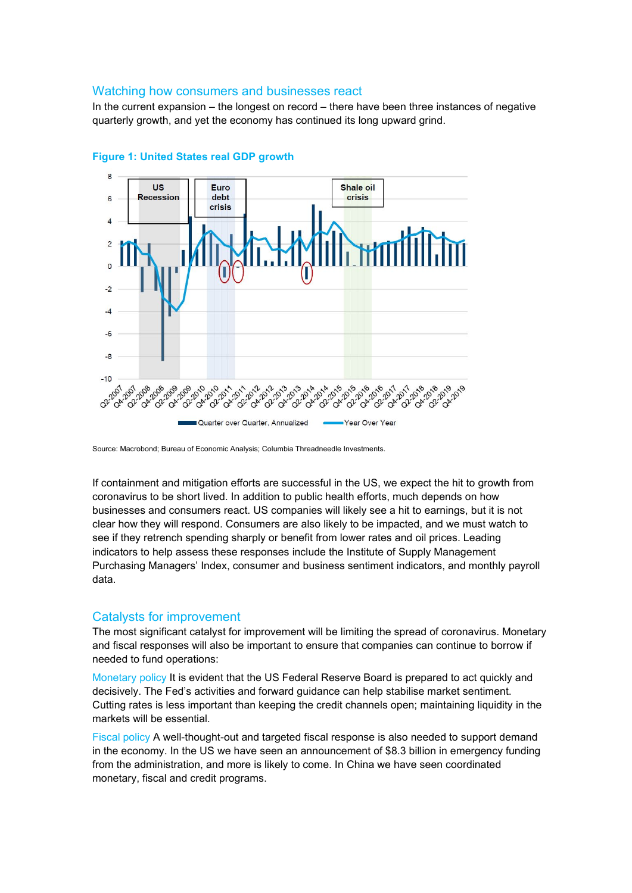#### Watching how consumers and businesses react

In the current expansion – the longest on record – there have been three instances of negative quarterly growth, and yet the economy has continued its long upward grind.





If containment and mitigation efforts are successful in the US, we expect the hit to growth from coronavirus to be short lived. In addition to public health efforts, much depends on how businesses and consumers react. US companies will likely see a hit to earnings, but it is not clear how they will respond. Consumers are also likely to be impacted, and we must watch to see if they retrench spending sharply or benefit from lower rates and oil prices. Leading indicators to help assess these responses include the Institute of Supply Management Purchasing Managers' Index, consumer and business sentiment indicators, and monthly payroll data.

## Catalysts for improvement

The most significant catalyst for improvement will be limiting the spread of coronavirus. Monetary and fiscal responses will also be important to ensure that companies can continue to borrow if needed to fund operations:

Monetary policy It is evident that the US Federal Reserve Board is prepared to act quickly and decisively. The Fed's activities and forward guidance can help stabilise market sentiment. Cutting rates is less important than keeping the credit channels open; maintaining liquidity in the markets will be essential.

Fiscal policy A well-thought-out and targeted fiscal response is also needed to support demand in the economy. In the US we have seen an announcement of \$8.3 billion in emergency funding from the administration, and more is likely to come. In China we have seen coordinated monetary, fiscal and credit programs.

Source: Macrobond; Bureau of Economic Analysis; Columbia Threadneedle Investments.